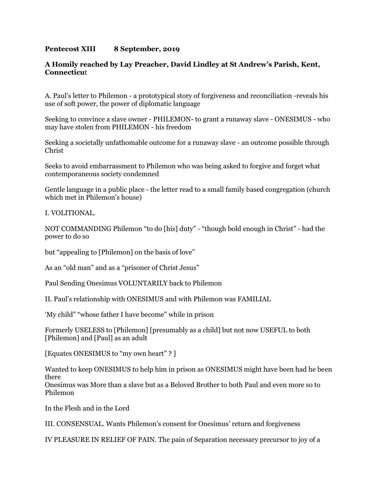## **Pentecost XIII 8 September, 2019**

## **A Homily reached by Lay Preacher, David Lindley at St Andrew's Parish, Kent, Connecticu**t

A. Paul's letter to Philemon - a prototypical story of forgiveness and reconciliation -reveals his use of soft power, the power of diplomatic language

Seeking to convince a slave owner - PHILEMON- to grant a runaway slave - ONESIMUS - who may have stolen from PHILEMON - his freedom

Seeking a societally unfathomable outcome for a runaway slave - an outcome possible through Christ

Seeks to avoid embarrassment to Philemon who was being asked to forgive and forget what contemporaneous society condemned

Gentle language in a public place - the letter read to a small family based congregation (church which met in Philemon's house)

I. VOLITIONAL.

NOT COMMANDING Philemon "to do [his] duty" - "though bold enough in Christ" - had the power to do so

but "appealing to [Philemon] on the basis of love"

As an "old man" and as a "prisoner of Christ Jesus"

Paul Sending Onesimus VOLUNTARILY back to Philemon

II. Paul's relationship with ONESIMUS and with Philemon was FAMILIAL

'My child" "whose father I have become" while in prison

Formerly USELESS to [Philemon] [presumably as a child] but not now USEFUL to both [Philemon] and [Paul] as an adult

[Equates ONESIMUS to "my own heart" ? ]

Wanted to keep ONESIMUS to help him in prison as ONESIMUS might have been had he been there Onesimus was More than a slave but as a Beloved Brother to both Paul and even more so to

Philemon

In the Flesh and in the Lord

III. CONSENSUAL. Wants Philemon's consent for Onesimus' return and forgiveness

IV PLEASURE IN RELIEF OF PAIN. The pain of Separation necessary precursor to joy of a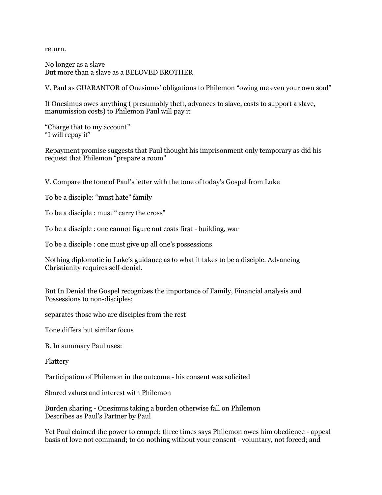return.

No longer as a slave But more than a slave as a BELOVED BROTHER

V. Paul as GUARANTOR of Onesimus' obligations to Philemon "owing me even your own soul"

If Onesimus owes anything ( presumably theft, advances to slave, costs to support a slave, manumission costs) to Philemon Paul will pay it

"Charge that to my account" "I will repay it"

Repayment promise suggests that Paul thought his imprisonment only temporary as did his request that Philemon "prepare a room"

V. Compare the tone of Paul's letter with the tone of today's Gospel from Luke

To be a disciple: "must hate" family

To be a disciple : must " carry the cross"

To be a disciple : one cannot figure out costs first - building, war

To be a disciple : one must give up all one's possessions

Nothing diplomatic in Luke's guidance as to what it takes to be a disciple. Advancing Christianity requires self-denial.

But In Denial the Gospel recognizes the importance of Family, Financial analysis and Possessions to non-disciples;

separates those who are disciples from the rest

Tone differs but similar focus

B. In summary Paul uses:

Flattery

Participation of Philemon in the outcome - his consent was solicited

Shared values and interest with Philemon

Burden sharing - Onesimus taking a burden otherwise fall on Philemon Describes as Paul's Partner by Paul

Yet Paul claimed the power to compel: three times says Philemon owes him obedience - appeal basis of love not command; to do nothing without your consent - voluntary, not forced; and